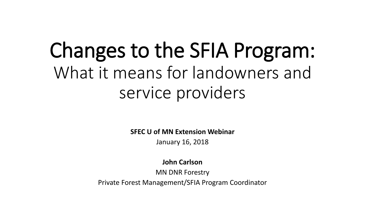# Changes to the SFIA Program: What it means for landowners and service providers

**SFEC U of MN Extension Webinar**

January 16, 2018

**John Carlson**

MN DNR Forestry

Private Forest Management/SFIA Program Coordinator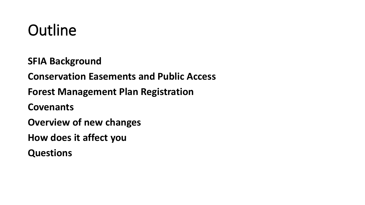### **Outline**

**SFIA Background**

**Conservation Easements and Public Access**

**Forest Management Plan Registration**

**Covenants**

**Overview of new changes**

**How does it affect you**

**Questions**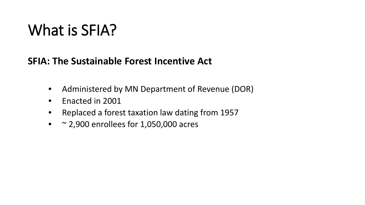#### **SFIA: The Sustainable Forest Incentive Act**

- Administered by MN Department of Revenue (DOR)
- Enacted in 2001
- Replaced a forest taxation law dating from 1957
- $\sim$  2,900 enrollees for 1,050,000 acres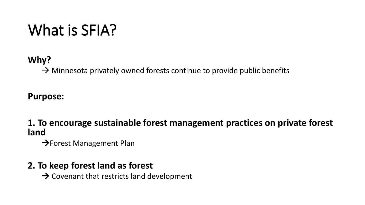#### **Why?**

 $\rightarrow$  Minnesota privately owned forests continue to provide public benefits

#### **Purpose:**

**1. To encourage sustainable forest management practices on private forest land** 

 $\rightarrow$  Forest Management Plan

#### **2. To keep forest land as forest**

 $\rightarrow$  Covenant that restricts land development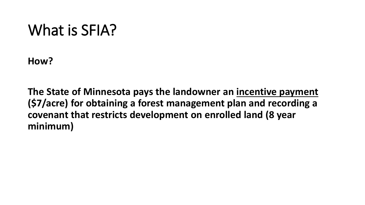**How?**

**The State of Minnesota pays the landowner an incentive payment (\$7/acre) for obtaining a forest management plan and recording a covenant that restricts development on enrolled land (8 year minimum)**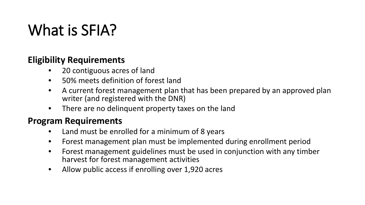#### **Eligibility Requirements**

- 20 contiguous acres of land
- 50% meets definition of forest land
- A current forest management plan that has been prepared by an approved plan writer (and registered with the DNR)
- There are no delinquent property taxes on the land

#### **Program Requirements**

- Land must be enrolled for a minimum of 8 years
- Forest management plan must be implemented during enrollment period
- Forest management guidelines must be used in conjunction with any timber harvest for forest management activities
- Allow public access if enrolling over 1,920 acres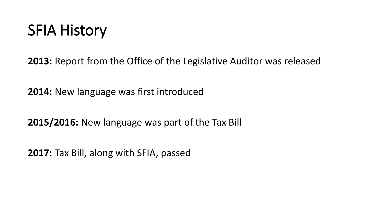### SFIA History

**2013:** Report from the Office of the Legislative Auditor was released

**2014:** New language was first introduced

**2015/2016:** New language was part of the Tax Bill

**2017:** Tax Bill, along with SFIA, passed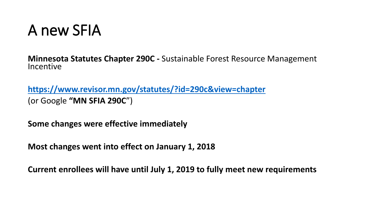### A new SFIA

**Minnesota Statutes Chapter 290C -** Sustainable Forest Resource Management Incentive

**<https://www.revisor.mn.gov/statutes/?id=290c&view=chapter>** (or Google **"MN SFIA 290C**")

**Some changes were effective immediately**

**Most changes went into effect on January 1, 2018**

**Current enrollees will have until July 1, 2019 to fully meet new requirements**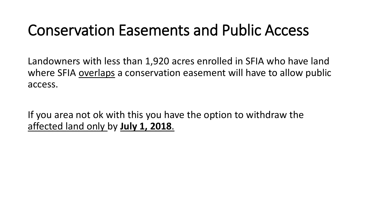Landowners with less than 1,920 acres enrolled in SFIA who have land where SFIA overlaps a conservation easement will have to allow public access.

If you area not ok with this you have the option to withdraw the affected land only by **July 1, 2018**.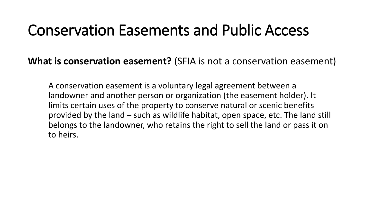**What is conservation easement?** (SFIA is not a conservation easement)

A conservation easement is a voluntary legal agreement between a landowner and another person or organization (the easement holder). It limits certain uses of the property to conserve natural or scenic benefits provided by the land – such as wildlife habitat, open space, etc. The land still belongs to the landowner, who retains the right to sell the land or pass it on to heirs.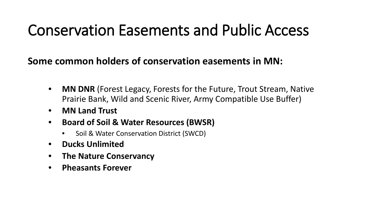#### **Some common holders of conservation easements in MN:**

- **MN DNR** (Forest Legacy, Forests for the Future, Trout Stream, Native Prairie Bank, Wild and Scenic River, Army Compatible Use Buffer)
- **MN Land Trust**
- **Board of Soil & Water Resources (BWSR)** 
	- Soil & Water Conservation District (SWCD)
- **Ducks Unlimited**
- **The Nature Conservancy**
- **Pheasants Forever**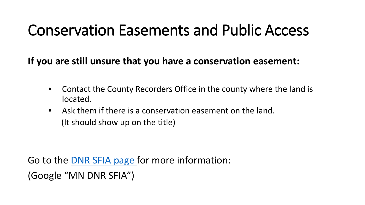**If you are still unsure that you have a conservation easement:**

- Contact the County Recorders Office in the county where the land is located.
- Ask them if there is a conservation easement on the land. (It should show up on the title)

Go to the **DNR SFIA page** for more information:

(Google "MN DNR SFIA")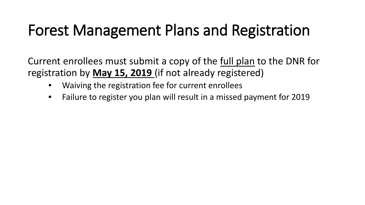Current enrollees must submit a copy of the full plan to the DNR for registration by **May 15, 2019** (if not already registered)

- Waiving the registration fee for current enrollees
- Failure to register you plan will result in a missed payment for 2019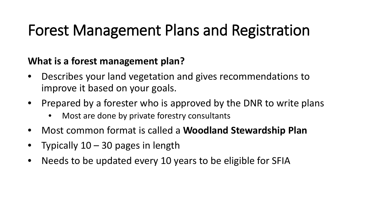#### **What is a forest management plan?**

- Describes your land vegetation and gives recommendations to improve it based on your goals.
- Prepared by a forester who is approved by the DNR to write plans
	- Most are done by private forestry consultants
- Most common format is called a **Woodland Stewardship Plan**
- Typically  $10 30$  pages in length
- Needs to be updated every 10 years to be eligible for SFIA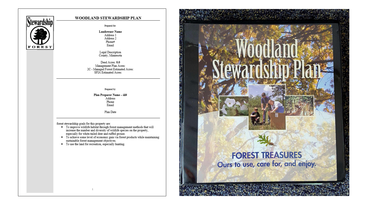

#### WOODLAND STEWARDSHIP PLAN

Prepared for:

**Landowner Name** Address 1 Address 2 Phone# Email

Legal Description County; Minnesota

Deed Acres: 0.0 Management Plan Acres: 2C - Managed Forest Estimated Acres: SFIA Estimated Acres:

Prepared by:

Plan Preparer Name - id# .<br>Address Phone Email

Plan Date

- % forest stewardship goals for this property are:<br>  $\bullet\quad$  To improve wildlife habitat through forest management methods that will increase the number and diversity of wildlife species on the property, especially for white-tailed deer and ruffed grouse.
	- To achieve some level of economic gain via forest products while maintaining sustainable forest management objectives.
	- To use the land for recreation, especially hunting.

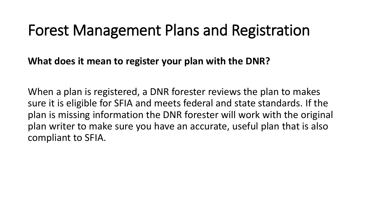**What does it mean to register your plan with the DNR?**

When a plan is registered, a DNR forester reviews the plan to makes sure it is eligible for SFIA and meets federal and state standards. If the plan is missing information the DNR forester will work with the original plan writer to make sure you have an accurate, useful plan that is also compliant to SFIA.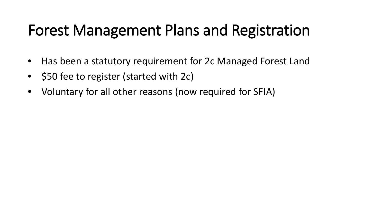- Has been a statutory requirement for 2c Managed Forest Land
- \$50 fee to register (started with 2c)
- Voluntary for all other reasons (now required for SFIA)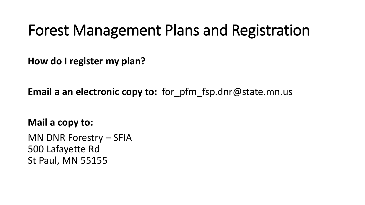**How do I register my plan?**

**Email a an electronic copy to:** for\_pfm\_fsp.dnr@state.mn.us

**Mail a copy to:** MN DNR Forestry – SFIA

500 Lafayette Rd St Paul, MN 55155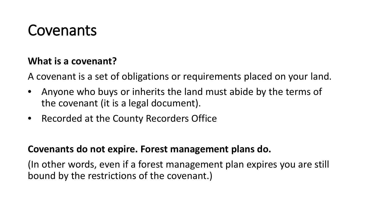### Covenants

#### **What is a covenant?**

A covenant is a set of obligations or requirements placed on your land.

- Anyone who buys or inherits the land must abide by the terms of the covenant (it is a legal document).
- Recorded at the County Recorders Office

#### **Covenants do not expire. Forest management plans do.**

(In other words, even if a forest management plan expires you are still bound by the restrictions of the covenant.)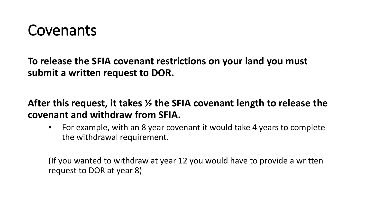

**To release the SFIA covenant restrictions on your land you must submit a written request to DOR.**

**After this request, it takes ½ the SFIA covenant length to release the covenant and withdraw from SFIA.** 

• For example, with an 8 year covenant it would take 4 years to complete the withdrawal requirement.

(If you wanted to withdraw at year 12 you would have to provide a written request to DOR at year 8)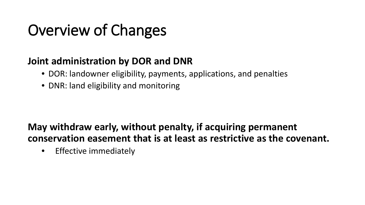#### **Joint administration by DOR and DNR**

- DOR: landowner eligibility, payments, applications, and penalties
- DNR: land eligibility and monitoring

#### **May withdraw early, without penalty, if acquiring permanent conservation easement that is at least as restrictive as the covenant.**

• Effective immediately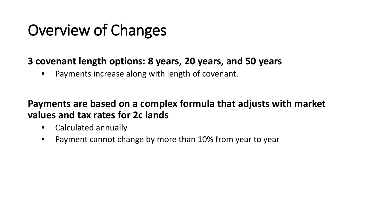#### **3 covenant length options: 8 years, 20 years, and 50 years**

• Payments increase along with length of covenant.

#### **Payments are based on a complex formula that adjusts with market values and tax rates for 2c lands**

- Calculated annually
- Payment cannot change by more than 10% from year to year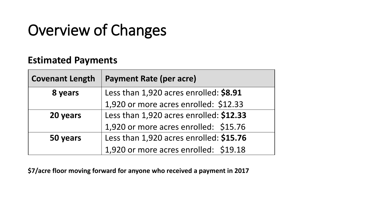#### **Estimated Payments**

| <b>Covenant Length</b> | <b>Payment Rate (per acre)</b>          |
|------------------------|-----------------------------------------|
| 8 years                | Less than 1,920 acres enrolled: \$8.91  |
|                        | 1,920 or more acres enrolled: \$12.33   |
| 20 years               | Less than 1,920 acres enrolled: \$12.33 |
|                        | 1,920 or more acres enrolled: \$15.76   |
| 50 years               | Less than 1,920 acres enrolled: \$15.76 |
|                        | 1,920 or more acres enrolled: \$19.18   |

**\$7/acre floor moving forward for anyone who received a payment in 2017**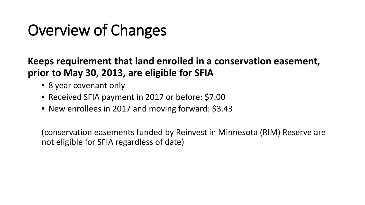#### **Keeps requirement that land enrolled in a conservation easement, prior to May 30, 2013, are eligible for SFIA**

- 8 year covenant only
- Received SFIA payment in 2017 or before: \$7.00
- New enrollees in 2017 and moving forward: \$3.43

(conservation easements funded by Reinvest in Minnesota (RIM) Reserve are not eligible for SFIA regardless of date)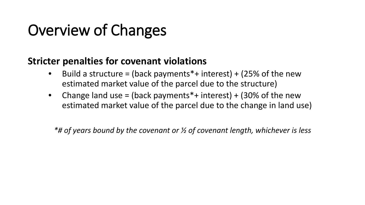#### **Stricter penalties for covenant violations**

- Build a structure = (back payments\*+ interest) + (25% of the new estimated market value of the parcel due to the structure)
- Change land use = (back payments  $*+$  interest) + (30% of the new estimated market value of the parcel due to the change in land use)

*\*# of years bound by the covenant or ½ of covenant length, whichever is less*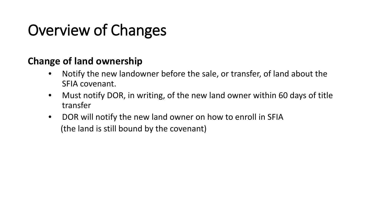#### **Change of land ownership**

- Notify the new landowner before the sale, or transfer, of land about the SFIA covenant.
- Must notify DOR, in writing, of the new land owner within 60 days of title transfer
- DOR will notify the new land owner on how to enroll in SFIA (the land is still bound by the covenant)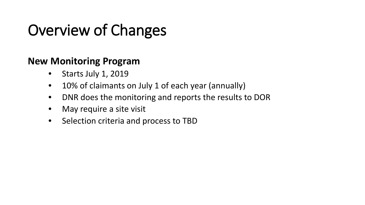#### **New Monitoring Program**

- Starts July 1, 2019
- 10% of claimants on July 1 of each year (annually)
- DNR does the monitoring and reports the results to DOR
- May require a site visit
- Selection criteria and process to TBD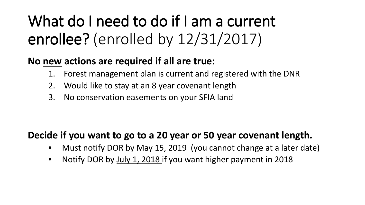## What do I need to do if I am a current enrollee? (enrolled by 12/31/2017)

#### **No new actions are required if all are true:**

- 1. Forest management plan is current and registered with the DNR
- 2. Would like to stay at an 8 year covenant length
- 3. No conservation easements on your SFIA land

#### **Decide if you want to go to a 20 year or 50 year covenant length.**

- Must notify DOR by May 15, 2019 (you cannot change at a later date)
- Notify DOR by July 1, 2018 if you want higher payment in 2018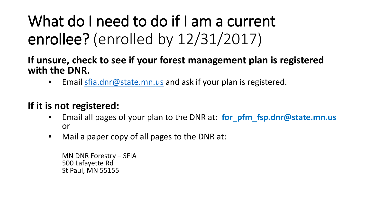## What do I need to do if I am a current enrollee? (enrolled by 12/31/2017)

#### **If unsure, check to see if your forest management plan is registered with the DNR.**

• Email [sfia.dnr@state.mn.us](mailto:sfia.dnr@state.mn.us) and ask if your plan is registered.

#### **If it is not registered:**

- Email all pages of your plan to the DNR at: **for\_pfm\_fsp.dnr@state.mn.us** or
- Mail a paper copy of all pages to the DNR at:

MN DNR Forestry – SFIA 500 Lafayette Rd St Paul, MN 55155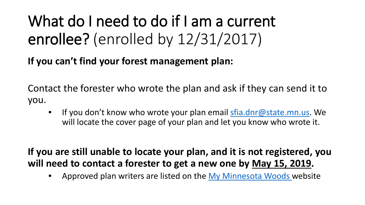## What do I need to do if I am a current enrollee? (enrolled by 12/31/2017)

**If you can't find your forest management plan:**

Contact the forester who wrote the plan and ask if they can send it to you.

If you don't know who wrote your plan email [sfia.dnr@state.mn.us](mailto:sfia.dnr@state.mn.us). We will locate the cover page of your plan and let you know who wrote it.

**If you are still unable to locate your plan, and it is not registered, you will need to contact a forester to get a new one by May 15, 2019.** 

Approved plan writers are listed on the [My Minnesota Woods w](http://www.myminnesotawoods.umn.edu/minnesota-stewardship-plan-preparers/)ebsite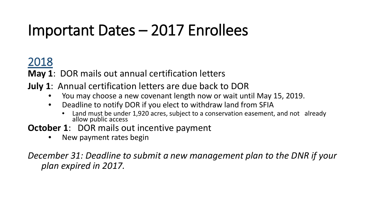### Important Dates – 2017 Enrollees

### 2018

**May 1**: DOR mails out annual certification letters

- **July 1**: Annual certification letters are due back to DOR
	- You may choose a new covenant length now or wait until May 15, 2019.
	- Deadline to notify DOR if you elect to withdraw land from SFIA
		- Land must be under 1,920 acres, subject to a conservation easement, and not already allow public access
- **October 1: DOR mails out incentive payment** 
	- New payment rates begin

*December 31: Deadline to submit a new management plan to the DNR if your plan expired in 2017.*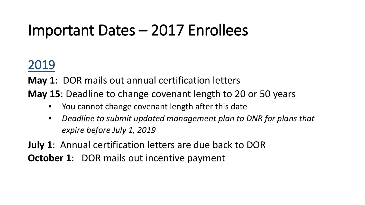### Important Dates – 2017 Enrollees

### 2019

**May 1**: DOR mails out annual certification letters

**May 15**: Deadline to change covenant length to 20 or 50 years

- You cannot change covenant length after this date
- *Deadline to submit updated management plan to DNR for plans that expire before July 1, 2019*

**July 1**: Annual certification letters are due back to DOR **October 1: DOR mails out incentive payment**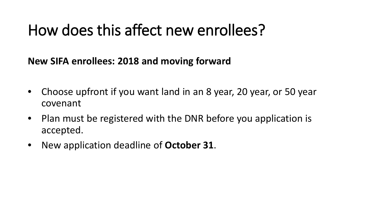### How does this affect new enrollees?

**New SIFA enrollees: 2018 and moving forward**

- Choose upfront if you want land in an 8 year, 20 year, or 50 year covenant
- Plan must be registered with the DNR before you application is accepted.
- New application deadline of **October 31**.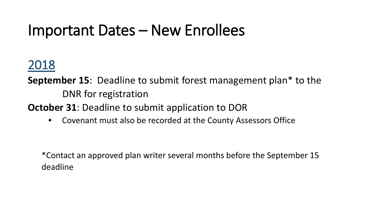### Important Dates – New Enrollees

### 2018

**September 15**: Deadline to submit forest management plan\* to the DNR for registration

**October 31**: Deadline to submit application to DOR

• Covenant must also be recorded at the County Assessors Office

\*Contact an approved plan writer several months before the September 15 deadline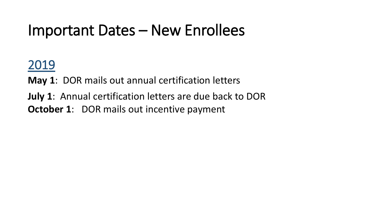### Important Dates – New Enrollees

### 2019

**May 1**: DOR mails out annual certification letters

**July 1**: Annual certification letters are due back to DOR **October 1: DOR mails out incentive payment**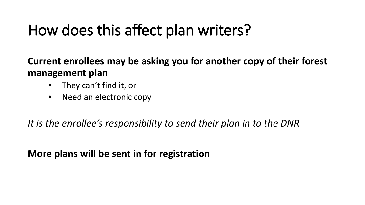### How does this affect plan writers?

**Current enrollees may be asking you for another copy of their forest management plan**

- They can't find it, or
- Need an electronic copy

*It is the enrollee's responsibility to send their plan in to the DNR*

**More plans will be sent in for registration**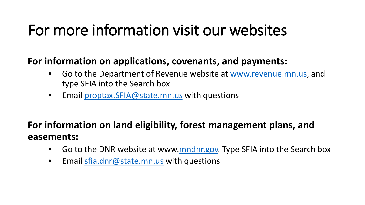### For more information visit our websites

#### **For information on applications, covenants, and payments:**

- Go to the Department of Revenue website at [www.revenue.mn.us](http://www.revenue.mn.us/), and type SFIA into the Search box
- Email [proptax.SFIA@state.mn.us](mailto:proptax.SFIA@state.mn.us) with questions

#### **For information on land eligibility, forest management plans, and easements:**

- Go to the DNR website at www[.mndnr.gov.](http://www.mndnr.gov/) Type SFIA into the Search box
- Email [sfia.dnr@state.mn.us](mailto:sfia.dnr@state.mn.us) with questions